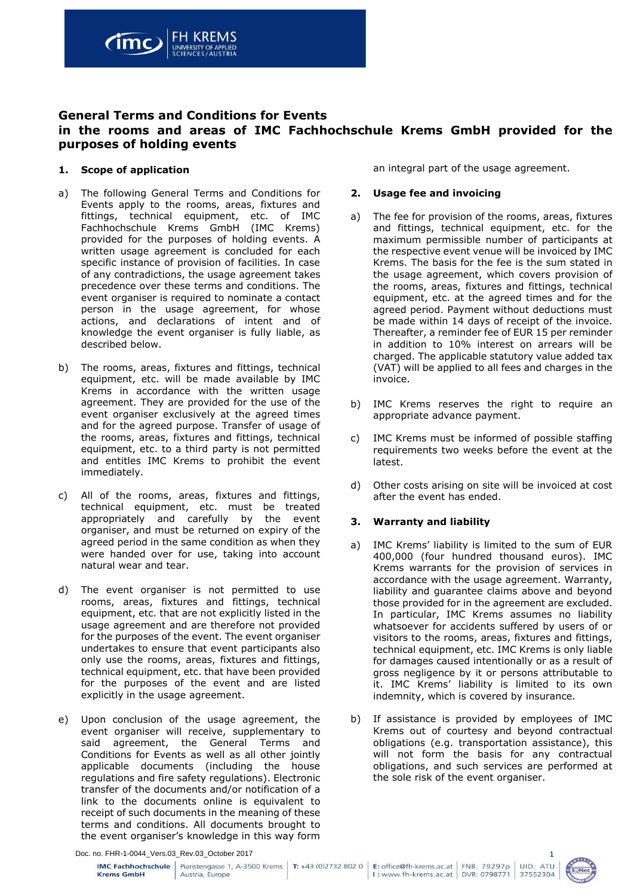

# **General Terms and Conditions for Events in the rooms and areas of IMC Fachhochschule Krems GmbH provided for the purposes of holding events**

## **1. Scope of application**

- a) The following General Terms and Conditions for Events apply to the rooms, areas, fixtures and fittings, technical equipment, etc. of IMC Fachhochschule Krems GmbH (IMC Krems) provided for the purposes of holding events. A written usage agreement is concluded for each specific instance of provision of facilities. In case of any contradictions, the usage agreement takes precedence over these terms and conditions. The event organiser is required to nominate a contact person in the usage agreement, for whose actions, and declarations of intent and of knowledge the event organiser is fully liable, as described below.
- b) The rooms, areas, fixtures and fittings, technical equipment, etc. will be made available by IMC Krems in accordance with the written usage agreement. They are provided for the use of the event organiser exclusively at the agreed times and for the agreed purpose. Transfer of usage of the rooms, areas, fixtures and fittings, technical equipment, etc. to a third party is not permitted and entitles IMC Krems to prohibit the event immediately.
- c) All of the rooms, areas, fixtures and fittings, technical equipment, etc. must be treated appropriately and carefully by the event organiser, and must be returned on expiry of the agreed period in the same condition as when they were handed over for use, taking into account natural wear and tear.
- d) The event organiser is not permitted to use rooms, areas, fixtures and fittings, technical equipment, etc. that are not explicitly listed in the usage agreement and are therefore not provided for the purposes of the event. The event organiser undertakes to ensure that event participants also only use the rooms, areas, fixtures and fittings, technical equipment, etc. that have been provided for the purposes of the event and are listed explicitly in the usage agreement.
- e) Upon conclusion of the usage agreement, the event organiser will receive, supplementary to said agreement, the General Terms and Conditions for Events as well as all other jointly applicable documents (including the house regulations and fire safety regulations). Electronic transfer of the documents and/or notification of a link to the documents online is equivalent to receipt of such documents in the meaning of these terms and conditions. All documents brought to the event organiser's knowledge in this way form

an integral part of the usage agreement.

## **2. Usage fee and invoicing**

- a) The fee for provision of the rooms, areas, fixtures and fittings, technical equipment, etc. for the maximum permissible number of participants at the respective event venue will be invoiced by IMC Krems. The basis for the fee is the sum stated in the usage agreement, which covers provision of the rooms, areas, fixtures and fittings, technical equipment, etc. at the agreed times and for the agreed period. Payment without deductions must be made within 14 days of receipt of the invoice. Thereafter, a reminder fee of EUR 15 per reminder in addition to 10% interest on arrears will be charged. The applicable statutory value added tax (VAT) will be applied to all fees and charges in the invoice.
- b) IMC Krems reserves the right to require an appropriate advance payment.
- c) IMC Krems must be informed of possible staffing requirements two weeks before the event at the latest.
- d) Other costs arising on site will be invoiced at cost after the event has ended.

## **3. Warranty and liability**

- a) IMC Krems' liability is limited to the sum of EUR 400,000 (four hundred thousand euros). IMC Krems warrants for the provision of services in accordance with the usage agreement. Warranty, liability and guarantee claims above and beyond those provided for in the agreement are excluded. In particular, IMC Krems assumes no liability whatsoever for accidents suffered by users of or visitors to the rooms, areas, fixtures and fittings, technical equipment, etc. IMC Krems is only liable for damages caused intentionally or as a result of gross negligence by it or persons attributable to it. IMC Krems' liability is limited to its own indemnity, which is covered by insurance.
- b) If assistance is provided by employees of IMC Krems out of courtesy and beyond contractual obligations (e.g. transportation assistance), this will not form the basis for any contractual obligations, and such services are performed at the sole risk of the event organiser.

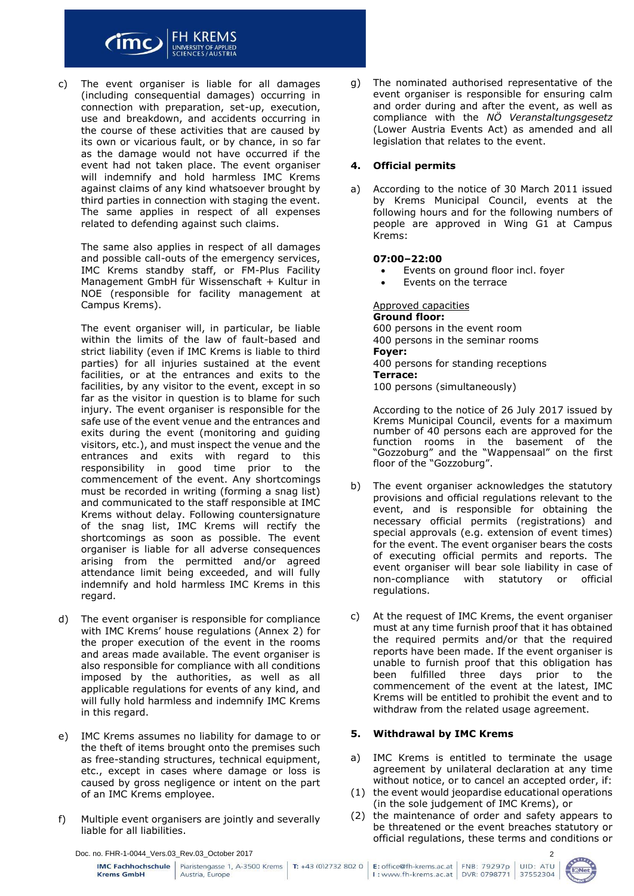

#### c) The event organiser is liable for all damages (including consequential damages) occurring in connection with preparation, set-up, execution, use and breakdown, and accidents occurring in the course of these activities that are caused by its own or vicarious fault, or by chance, in so far as the damage would not have occurred if the event had not taken place. The event organiser will indemnify and hold harmless IMC Krems against claims of any kind whatsoever brought by third parties in connection with staging the event. The same applies in respect of all expenses related to defending against such claims.

The same also applies in respect of all damages and possible call-outs of the emergency services, IMC Krems standby staff, or FM-Plus Facility Management GmbH für Wissenschaft + Kultur in NOE (responsible for facility management at Campus Krems).

The event organiser will, in particular, be liable within the limits of the law of fault-based and strict liability (even if IMC Krems is liable to third parties) for all injuries sustained at the event facilities, or at the entrances and exits to the facilities, by any visitor to the event, except in so far as the visitor in question is to blame for such injury. The event organiser is responsible for the safe use of the event venue and the entrances and exits during the event (monitoring and guiding visitors, etc.), and must inspect the venue and the entrances and exits with regard to this responsibility in good time prior to the commencement of the event. Any shortcomings must be recorded in writing (forming a snag list) and communicated to the staff responsible at IMC Krems without delay. Following countersignature of the snag list, IMC Krems will rectify the shortcomings as soon as possible. The event organiser is liable for all adverse consequences arising from the permitted and/or agreed attendance limit being exceeded, and will fully indemnify and hold harmless IMC Krems in this regard.

- d) The event organiser is responsible for compliance with IMC Krems' house regulations (Annex 2) for the proper execution of the event in the rooms and areas made available. The event organiser is also responsible for compliance with all conditions imposed by the authorities, as well as all applicable regulations for events of any kind, and will fully hold harmless and indemnify IMC Krems in this regard.
- e) IMC Krems assumes no liability for damage to or the theft of items brought onto the premises such as free-standing structures, technical equipment, etc., except in cases where damage or loss is caused by gross negligence or intent on the part of an IMC Krems employee.
- f) Multiple event organisers are jointly and severally liable for all liabilities.

g) The nominated authorised representative of the event organiser is responsible for ensuring calm and order during and after the event, as well as compliance with the *NÖ Veranstaltungsgesetz*  (Lower Austria Events Act) as amended and all legislation that relates to the event.

## **4. Official permits**

a) According to the notice of 30 March 2011 issued by Krems Municipal Council, events at the following hours and for the following numbers of people are approved in Wing G1 at Campus Krems:

## **07:00–22:00**

- Events on ground floor incl. foyer
- Events on the terrace

Approved capacities **Ground floor:** 600 persons in the event room 400 persons in the seminar rooms **Foyer:** 400 persons for standing receptions **Terrace:** 100 persons (simultaneously)

According to the notice of 26 July 2017 issued by Krems Municipal Council, events for a maximum number of 40 persons each are approved for the function rooms in the basement of the "Gozzoburg" and the "Wappensaal" on the first floor of the "Gozzoburg".

- b) The event organiser acknowledges the statutory provisions and official regulations relevant to the event, and is responsible for obtaining the necessary official permits (registrations) and special approvals (e.g. extension of event times) for the event. The event organiser bears the costs of executing official permits and reports. The event organiser will bear sole liability in case of non-compliance with statutory or official regulations.
- c) At the request of IMC Krems, the event organiser must at any time furnish proof that it has obtained the required permits and/or that the required reports have been made. If the event organiser is unable to furnish proof that this obligation has been fulfilled three days prior to the commencement of the event at the latest, IMC Krems will be entitled to prohibit the event and to withdraw from the related usage agreement.

## **5. Withdrawal by IMC Krems**

- a) IMC Krems is entitled to terminate the usage agreement by unilateral declaration at any time without notice, or to cancel an accepted order, if:
- (1) the event would jeopardise educational operations (in the sole judgement of IMC Krems), or
- (2) the maintenance of order and safety appears to be threatened or the event breaches statutory or official regulations, these terms and conditions or

Doc. no. FHR-1-0044\_Vers.03\_Rev.03\_October 2017

| <b>Krems GmbH</b> | <b>IMC Fachhochschule</b> Piaristengasse 1, A-3500 Krems <b>T:</b> +43 (0)2732 802 0 <b>E:</b> office@fh-krems.ac.at FNB: 79297p<br>Austria, Europe |  | I: www.fh-krems.ac.at   DVR: 0798771 |  |  |
|-------------------|-----------------------------------------------------------------------------------------------------------------------------------------------------|--|--------------------------------------|--|--|
|-------------------|-----------------------------------------------------------------------------------------------------------------------------------------------------|--|--------------------------------------|--|--|



2

UID: ATU 37552304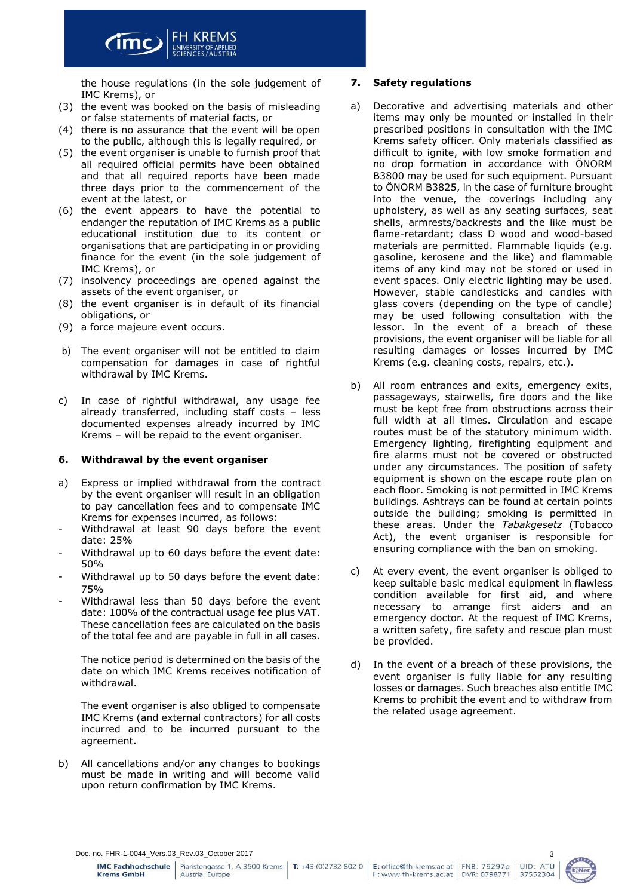

the house regulations (in the sole judgement of IMC Krems), or

- (3) the event was booked on the basis of misleading or false statements of material facts, or
- (4) there is no assurance that the event will be open to the public, although this is legally required, or
- (5) the event organiser is unable to furnish proof that all required official permits have been obtained and that all required reports have been made three days prior to the commencement of the event at the latest, or
- (6) the event appears to have the potential to endanger the reputation of IMC Krems as a public educational institution due to its content or organisations that are participating in or providing finance for the event (in the sole judgement of IMC Krems), or
- (7) insolvency proceedings are opened against the assets of the event organiser, or
- (8) the event organiser is in default of its financial obligations, or
- (9) a force majeure event occurs.
- b) The event organiser will not be entitled to claim compensation for damages in case of rightful withdrawal by IMC Krems.
- c) In case of rightful withdrawal, any usage fee already transferred, including staff costs – less documented expenses already incurred by IMC Krems – will be repaid to the event organiser.

## **6. Withdrawal by the event organiser**

- a) Express or implied withdrawal from the contract by the event organiser will result in an obligation to pay cancellation fees and to compensate IMC Krems for expenses incurred, as follows:
- Withdrawal at least 90 days before the event date: 25%
- Withdrawal up to 60 days before the event date: 50%
- Withdrawal up to 50 days before the event date: 75%
- Withdrawal less than 50 days before the event date: 100% of the contractual usage fee plus VAT. These cancellation fees are calculated on the basis of the total fee and are payable in full in all cases.

The notice period is determined on the basis of the date on which IMC Krems receives notification of withdrawal.

The event organiser is also obliged to compensate IMC Krems (and external contractors) for all costs incurred and to be incurred pursuant to the agreement.

b) All cancellations and/or any changes to bookings must be made in writing and will become valid upon return confirmation by IMC Krems.

## **7. Safety regulations**

- a) Decorative and advertising materials and other items may only be mounted or installed in their prescribed positions in consultation with the IMC Krems safety officer. Only materials classified as difficult to ignite, with low smoke formation and no drop formation in accordance with ÖNORM B3800 may be used for such equipment. Pursuant to ÖNORM B3825, in the case of furniture brought into the venue, the coverings including any upholstery, as well as any seating surfaces, seat shells, armrests/backrests and the like must be flame-retardant; class D wood and wood-based materials are permitted. Flammable liquids (e.g. gasoline, kerosene and the like) and flammable items of any kind may not be stored or used in event spaces. Only electric lighting may be used. However, stable candlesticks and candles with glass covers (depending on the type of candle) may be used following consultation with the lessor. In the event of a breach of these provisions, the event organiser will be liable for all resulting damages or losses incurred by IMC Krems (e.g. cleaning costs, repairs, etc.).
- b) All room entrances and exits, emergency exits, passageways, stairwells, fire doors and the like must be kept free from obstructions across their full width at all times. Circulation and escape routes must be of the statutory minimum width. Emergency lighting, firefighting equipment and fire alarms must not be covered or obstructed under any circumstances. The position of safety equipment is shown on the escape route plan on each floor. Smoking is not permitted in IMC Krems buildings. Ashtrays can be found at certain points outside the building; smoking is permitted in these areas. Under the *Tabakgesetz* (Tobacco Act), the event organiser is responsible for ensuring compliance with the ban on smoking.
- c) At every event, the event organiser is obliged to keep suitable basic medical equipment in flawless condition available for first aid, and where necessary to arrange first aiders and an emergency doctor. At the request of IMC Krems, a written safety, fire safety and rescue plan must be provided.
- d) In the event of a breach of these provisions, the event organiser is fully liable for any resulting losses or damages. Such breaches also entitle IMC Krems to prohibit the event and to withdraw from the related usage agreement.

Doc. no. FHR-1-0044\_Vers.03\_Rev.03\_October 2017

Piaristengasse 1, A-3500 Krems | T: +43 (0)2732 802 0 |



3

UID: ATU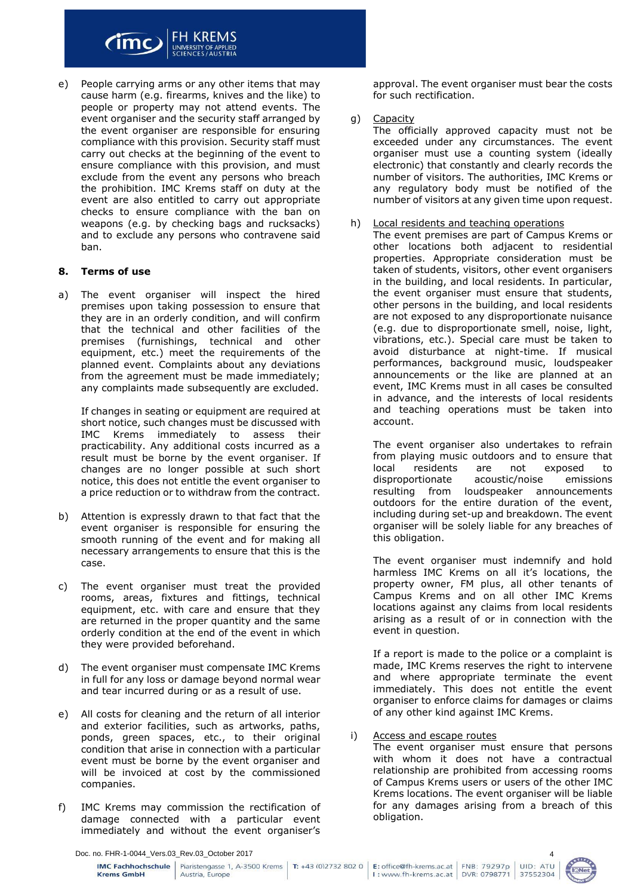

e) People carrying arms or any other items that may cause harm (e.g. firearms, knives and the like) to people or property may not attend events. The event organiser and the security staff arranged by the event organiser are responsible for ensuring compliance with this provision. Security staff must carry out checks at the beginning of the event to ensure compliance with this provision, and must exclude from the event any persons who breach the prohibition. IMC Krems staff on duty at the event are also entitled to carry out appropriate checks to ensure compliance with the ban on weapons (e.g. by checking bags and rucksacks) and to exclude any persons who contravene said ban.

#### **8. Terms of use**

a) The event organiser will inspect the hired premises upon taking possession to ensure that they are in an orderly condition, and will confirm that the technical and other facilities of the premises (furnishings, technical and other equipment, etc.) meet the requirements of the planned event. Complaints about any deviations from the agreement must be made immediately; any complaints made subsequently are excluded.

If changes in seating or equipment are required at short notice, such changes must be discussed with IMC Krems immediately to assess their practicability. Any additional costs incurred as a result must be borne by the event organiser. If changes are no longer possible at such short notice, this does not entitle the event organiser to a price reduction or to withdraw from the contract.

- b) Attention is expressly drawn to that fact that the event organiser is responsible for ensuring the smooth running of the event and for making all necessary arrangements to ensure that this is the case.
- c) The event organiser must treat the provided rooms, areas, fixtures and fittings, technical equipment, etc. with care and ensure that they are returned in the proper quantity and the same orderly condition at the end of the event in which they were provided beforehand.
- d) The event organiser must compensate IMC Krems in full for any loss or damage beyond normal wear and tear incurred during or as a result of use.
- e) All costs for cleaning and the return of all interior and exterior facilities, such as artworks, paths, ponds, green spaces, etc., to their original condition that arise in connection with a particular event must be borne by the event organiser and will be invoiced at cost by the commissioned companies.
- f) IMC Krems may commission the rectification of damage connected with a particular event immediately and without the event organiser's

approval. The event organiser must bear the costs for such rectification.

g) Capacity

The officially approved capacity must not be exceeded under any circumstances. The event organiser must use a counting system (ideally electronic) that constantly and clearly records the number of visitors. The authorities, IMC Krems or any regulatory body must be notified of the number of visitors at any given time upon request.

#### h) Local residents and teaching operations

The event premises are part of Campus Krems or other locations both adjacent to residential properties. Appropriate consideration must be taken of students, visitors, other event organisers in the building, and local residents. In particular, the event organiser must ensure that students, other persons in the building, and local residents are not exposed to any disproportionate nuisance (e.g. due to disproportionate smell, noise, light, vibrations, etc.). Special care must be taken to avoid disturbance at night-time. If musical performances, background music, loudspeaker announcements or the like are planned at an event, IMC Krems must in all cases be consulted in advance, and the interests of local residents and teaching operations must be taken into account.

The event organiser also undertakes to refrain from playing music outdoors and to ensure that local residents are not exposed to disproportionate acoustic/noise emissions resulting from loudspeaker announcements outdoors for the entire duration of the event, including during set-up and breakdown. The event organiser will be solely liable for any breaches of this obligation.

The event organiser must indemnify and hold harmless IMC Krems on all it's locations, the property owner, FM plus, all other tenants of Campus Krems and on all other IMC Krems locations against any claims from local residents arising as a result of or in connection with the event in question.

If a report is made to the police or a complaint is made, IMC Krems reserves the right to intervene and where appropriate terminate the event immediately. This does not entitle the event organiser to enforce claims for damages or claims of any other kind against IMC Krems.

i) Access and escape routes

The event organiser must ensure that persons with whom it does not have a contractual relationship are prohibited from accessing rooms of Campus Krems users or users of the other IMC Krems locations. The event organiser will be liable for any damages arising from a breach of this obligation.

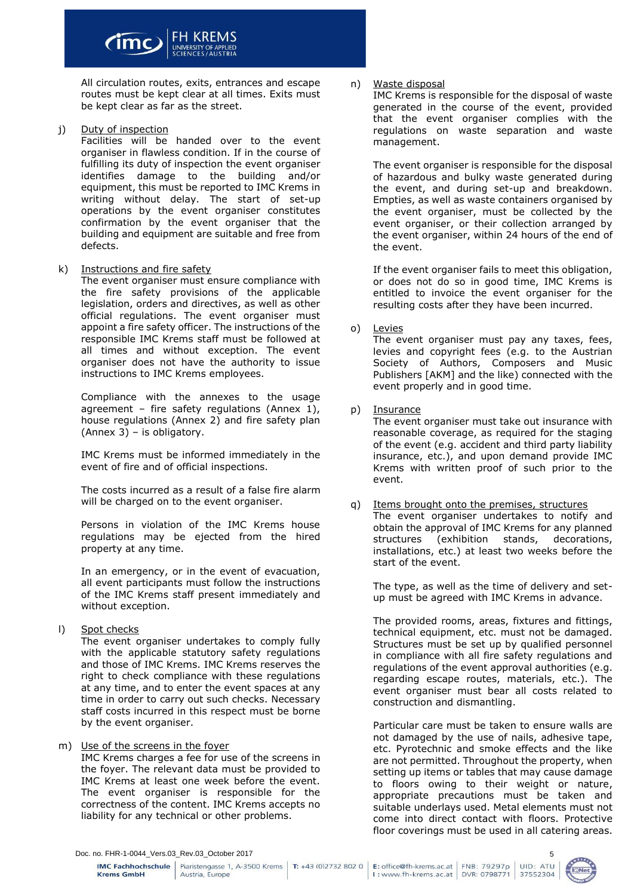

All circulation routes, exits, entrances and escape routes must be kept clear at all times. Exits must be kept clear as far as the street.

j) Duty of inspection

Facilities will be handed over to the event organiser in flawless condition. If in the course of fulfilling its duty of inspection the event organiser identifies damage to the building and/or equipment, this must be reported to IMC Krems in writing without delay. The start of set-up operations by the event organiser constitutes confirmation by the event organiser that the building and equipment are suitable and free from defects.

k) Instructions and fire safety

The event organiser must ensure compliance with the fire safety provisions of the applicable legislation, orders and directives, as well as other official regulations. The event organiser must appoint a fire safety officer. The instructions of the responsible IMC Krems staff must be followed at all times and without exception. The event organiser does not have the authority to issue instructions to IMC Krems employees.

Compliance with the annexes to the usage agreement – fire safety regulations (Annex 1), house regulations (Annex 2) and fire safety plan (Annex 3) – is obligatory.

IMC Krems must be informed immediately in the event of fire and of official inspections.

The costs incurred as a result of a false fire alarm will be charged on to the event organiser.

Persons in violation of the IMC Krems house regulations may be ejected from the hired property at any time.

In an emergency, or in the event of evacuation, all event participants must follow the instructions of the IMC Krems staff present immediately and without exception.

l) Spot checks

The event organiser undertakes to comply fully with the applicable statutory safety regulations and those of IMC Krems. IMC Krems reserves the right to check compliance with these regulations at any time, and to enter the event spaces at any time in order to carry out such checks. Necessary staff costs incurred in this respect must be borne by the event organiser.

## m) Use of the screens in the foyer

IMC Krems charges a fee for use of the screens in the foyer. The relevant data must be provided to IMC Krems at least one week before the event. The event organiser is responsible for the correctness of the content. IMC Krems accepts no liability for any technical or other problems.

## n) Waste disposal

IMC Krems is responsible for the disposal of waste generated in the course of the event, provided that the event organiser complies with the regulations on waste separation and waste management.

The event organiser is responsible for the disposal of hazardous and bulky waste generated during the event, and during set-up and breakdown. Empties, as well as waste containers organised by the event organiser, must be collected by the event organiser, or their collection arranged by the event organiser, within 24 hours of the end of the event.

If the event organiser fails to meet this obligation, or does not do so in good time, IMC Krems is entitled to invoice the event organiser for the resulting costs after they have been incurred.

## o) Levies

The event organiser must pay any taxes, fees, levies and copyright fees (e.g. to the Austrian Society of Authors, Composers and Music Publishers [AKM] and the like) connected with the event properly and in good time.

## p) Insurance

The event organiser must take out insurance with reasonable coverage, as required for the staging of the event (e.g. accident and third party liability insurance, etc.), and upon demand provide IMC Krems with written proof of such prior to the event.

q) Items brought onto the premises, structures The event organiser undertakes to notify and obtain the approval of IMC Krems for any planned structures (exhibition stands, decorations, installations, etc.) at least two weeks before the start of the event.

The type, as well as the time of delivery and setup must be agreed with IMC Krems in advance.

The provided rooms, areas, fixtures and fittings, technical equipment, etc. must not be damaged. Structures must be set up by qualified personnel in compliance with all fire safety regulations and regulations of the event approval authorities (e.g. regarding escape routes, materials, etc.). The event organiser must bear all costs related to construction and dismantling.

Particular care must be taken to ensure walls are not damaged by the use of nails, adhesive tape, etc. Pyrotechnic and smoke effects and the like are not permitted. Throughout the property, when setting up items or tables that may cause damage to floors owing to their weight or nature, appropriate precautions must be taken and suitable underlays used. Metal elements must not come into direct contact with floors. Protective floor coverings must be used in all catering areas.

Doc. no. FHR-1-0044\_Vers.03\_Rev.03\_October 2017

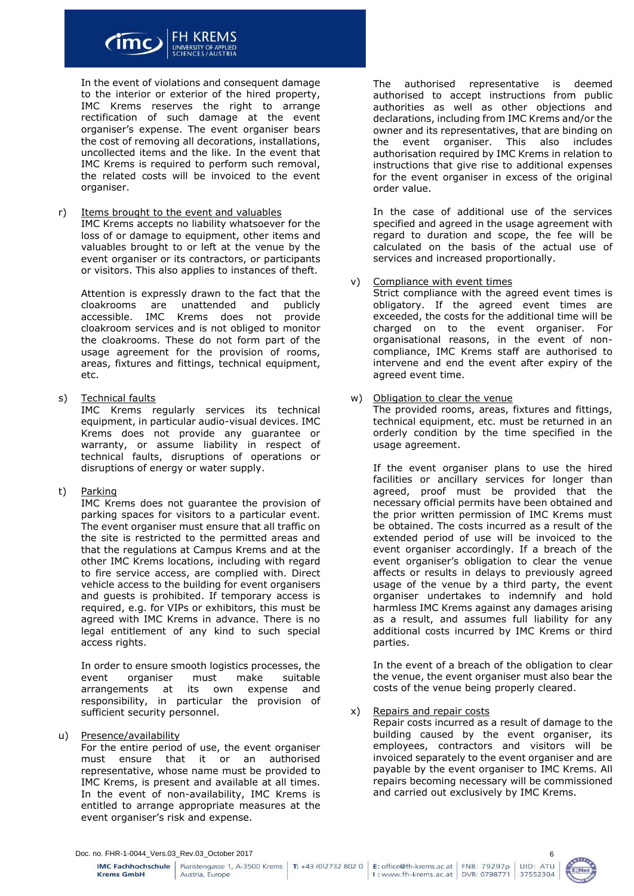

In the event of violations and consequent damage to the interior or exterior of the hired property, IMC Krems reserves the right to arrange rectification of such damage at the event organiser's expense. The event organiser bears the cost of removing all decorations, installations, uncollected items and the like. In the event that IMC Krems is required to perform such removal, the related costs will be invoiced to the event organiser.

r) Items brought to the event and valuables

IMC Krems accepts no liability whatsoever for the loss of or damage to equipment, other items and valuables brought to or left at the venue by the event organiser or its contractors, or participants or visitors. This also applies to instances of theft.

Attention is expressly drawn to the fact that the cloakrooms are unattended and publicly accessible. IMC Krems does not provide cloakroom services and is not obliged to monitor the cloakrooms. These do not form part of the usage agreement for the provision of rooms, areas, fixtures and fittings, technical equipment, etc.

s) Technical faults

IMC Krems regularly services its technical equipment, in particular audio-visual devices. IMC Krems does not provide any guarantee or warranty, or assume liability in respect of technical faults, disruptions of operations or disruptions of energy or water supply.

t) Parking

IMC Krems does not guarantee the provision of parking spaces for visitors to a particular event. The event organiser must ensure that all traffic on the site is restricted to the permitted areas and that the regulations at Campus Krems and at the other IMC Krems locations, including with regard to fire service access, are complied with. Direct vehicle access to the building for event organisers and guests is prohibited. If temporary access is required, e.g. for VIPs or exhibitors, this must be agreed with IMC Krems in advance. There is no legal entitlement of any kind to such special access rights.

In order to ensure smooth logistics processes, the event organiser must make suitable arrangements at its own expense and responsibility, in particular the provision of sufficient security personnel.

u) Presence/availability

For the entire period of use, the event organiser must ensure that it or an authorised representative, whose name must be provided to IMC Krems, is present and available at all times. In the event of non-availability, IMC Krems is entitled to arrange appropriate measures at the event organiser's risk and expense.

The authorised representative is deemed authorised to accept instructions from public authorities as well as other objections and declarations, including from IMC Krems and/or the owner and its representatives, that are binding on the event organiser. This also includes authorisation required by IMC Krems in relation to instructions that give rise to additional expenses for the event organiser in excess of the original order value.

In the case of additional use of the services specified and agreed in the usage agreement with regard to duration and scope, the fee will be calculated on the basis of the actual use of services and increased proportionally.

v) Compliance with event times

Strict compliance with the agreed event times is obligatory. If the agreed event times are exceeded, the costs for the additional time will be charged on to the event organiser. For organisational reasons, in the event of noncompliance, IMC Krems staff are authorised to intervene and end the event after expiry of the agreed event time.

w) Obligation to clear the venue

The provided rooms, areas, fixtures and fittings, technical equipment, etc. must be returned in an orderly condition by the time specified in the usage agreement.

If the event organiser plans to use the hired facilities or ancillary services for longer than agreed, proof must be provided that the necessary official permits have been obtained and the prior written permission of IMC Krems must be obtained. The costs incurred as a result of the extended period of use will be invoiced to the event organiser accordingly. If a breach of the event organiser's obligation to clear the venue affects or results in delays to previously agreed usage of the venue by a third party, the event organiser undertakes to indemnify and hold harmless IMC Krems against any damages arising as a result, and assumes full liability for any additional costs incurred by IMC Krems or third parties.

In the event of a breach of the obligation to clear the venue, the event organiser must also bear the costs of the venue being properly cleared.

x) Repairs and repair costs

Repair costs incurred as a result of damage to the building caused by the event organiser, its employees, contractors and visitors will be invoiced separately to the event organiser and are payable by the event organiser to IMC Krems. All repairs becoming necessary will be commissioned and carried out exclusively by IMC Krems.

Doc. no. FHR-1-0044\_Vers.03\_Rev.03\_October 2017

**IMC Fachhochschule** | Piaristengasse 1, A-3500 Krems | T: +43 (0)2732 802 0 |



6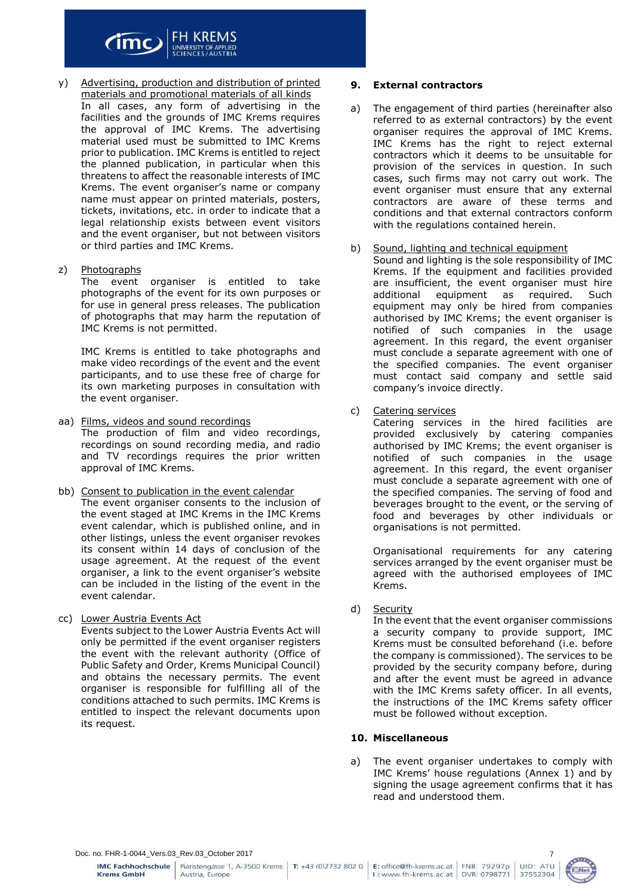

- y) Advertising, production and distribution of printed materials and promotional materials of all kinds In all cases, any form of advertising in the facilities and the grounds of IMC Krems requires the approval of IMC Krems. The advertising material used must be submitted to IMC Krems prior to publication. IMC Krems is entitled to reject the planned publication, in particular when this threatens to affect the reasonable interests of IMC Krems. The event organiser's name or company name must appear on printed materials, posters, tickets, invitations, etc. in order to indicate that a legal relationship exists between event visitors and the event organiser, but not between visitors or third parties and IMC Krems.
- z) Photographs

The event organiser is entitled to take photographs of the event for its own purposes or for use in general press releases. The publication of photographs that may harm the reputation of IMC Krems is not permitted.

IMC Krems is entitled to take photographs and make video recordings of the event and the event participants, and to use these free of charge for its own marketing purposes in consultation with the event organiser.

- aa) Films, videos and sound recordings The production of film and video recordings, recordings on sound recording media, and radio and TV recordings requires the prior written approval of IMC Krems.
- bb) Consent to publication in the event calendar The event organiser consents to the inclusion of the event staged at IMC Krems in the IMC Krems event calendar, which is published online, and in other listings, unless the event organiser revokes its consent within 14 days of conclusion of the usage agreement. At the request of the event organiser, a link to the event organiser's website can be included in the listing of the event in the event calendar.
- cc) Lower Austria Events Act Events subject to the Lower Austria Events Act will only be permitted if the event organiser registers the event with the relevant authority (Office of Public Safety and Order, Krems Municipal Council) and obtains the necessary permits. The event organiser is responsible for fulfilling all of the conditions attached to such permits. IMC Krems is entitled to inspect the relevant documents upon its request.

#### **9. External contractors**

- a) The engagement of third parties (hereinafter also referred to as external contractors) by the event organiser requires the approval of IMC Krems. IMC Krems has the right to reject external contractors which it deems to be unsuitable for provision of the services in question. In such cases, such firms may not carry out work. The event organiser must ensure that any external contractors are aware of these terms and conditions and that external contractors conform with the regulations contained herein.
- b) Sound, lighting and technical equipment Sound and lighting is the sole responsibility of IMC Krems. If the equipment and facilities provided are insufficient, the event organiser must hire additional equipment as required. Such equipment may only be hired from companies authorised by IMC Krems; the event organiser is notified of such companies in the usage agreement. In this regard, the event organiser must conclude a separate agreement with one of the specified companies. The event organiser must contact said company and settle said company's invoice directly.
- c) Catering services

Catering services in the hired facilities are provided exclusively by catering companies authorised by IMC Krems; the event organiser is notified of such companies in the usage agreement. In this regard, the event organiser must conclude a separate agreement with one of the specified companies. The serving of food and beverages brought to the event, or the serving of food and beverages by other individuals or organisations is not permitted.

Organisational requirements for any catering services arranged by the event organiser must be agreed with the authorised employees of IMC Krems.

d) Security

In the event that the event organiser commissions a security company to provide support, IMC Krems must be consulted beforehand (i.e. before the company is commissioned). The services to be provided by the security company before, during and after the event must be agreed in advance with the IMC Krems safety officer. In all events, the instructions of the IMC Krems safety officer must be followed without exception.

## **10. Miscellaneous**

a) The event organiser undertakes to comply with IMC Krems' house regulations (Annex 1) and by signing the usage agreement confirms that it has read and understood them.

**IMC Fachhochschule Krems GmbH** 

Austria, Europe

Piaristengasse 1, A-3500 Krems | T: +43 (0)2732 802 0 |



7

UID: ATU